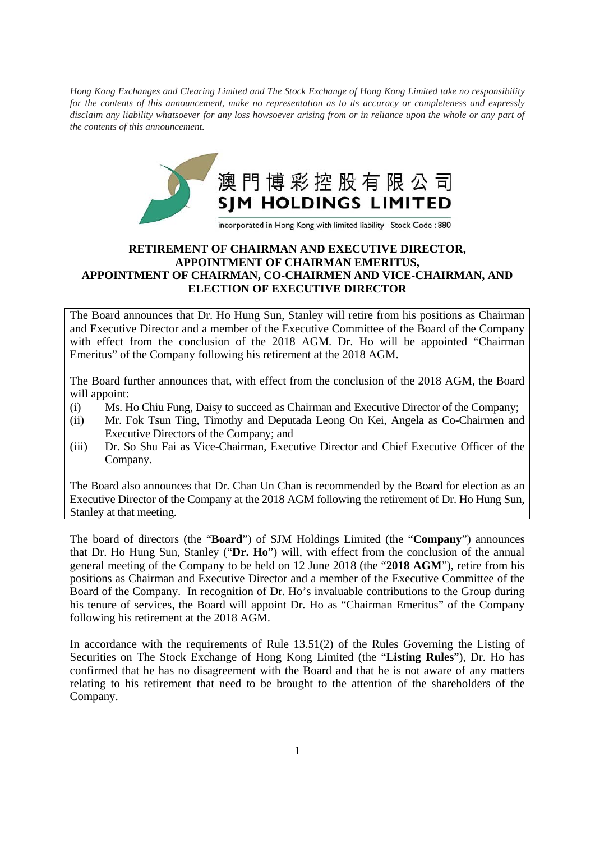*Hong Kong Exchanges and Clearing Limited and The Stock Exchange of Hong Kong Limited take no responsibility for the contents of this announcement, make no representation as to its accuracy or completeness and expressly disclaim any liability whatsoever for any loss howsoever arising from or in reliance upon the whole or any part of the contents of this announcement.* 



## **RETIREMENT OF CHAIRMAN AND EXECUTIVE DIRECTOR, APPOINTMENT OF CHAIRMAN EMERITUS, APPOINTMENT OF CHAIRMAN, CO-CHAIRMEN AND VICE-CHAIRMAN, AND ELECTION OF EXECUTIVE DIRECTOR**

The Board announces that Dr. Ho Hung Sun, Stanley will retire from his positions as Chairman and Executive Director and a member of the Executive Committee of the Board of the Company with effect from the conclusion of the 2018 AGM. Dr. Ho will be appointed "Chairman Emeritus" of the Company following his retirement at the 2018 AGM.

The Board further announces that, with effect from the conclusion of the 2018 AGM, the Board will appoint:

- (i) Ms. Ho Chiu Fung, Daisy to succeed as Chairman and Executive Director of the Company;
- (ii) Mr. Fok Tsun Ting, Timothy and Deputada Leong On Kei, Angela as Co-Chairmen and Executive Directors of the Company; and
- (iii) Dr. So Shu Fai as Vice-Chairman, Executive Director and Chief Executive Officer of the Company.

The Board also announces that Dr. Chan Un Chan is recommended by the Board for election as an Executive Director of the Company at the 2018 AGM following the retirement of Dr. Ho Hung Sun, Stanley at that meeting.

The board of directors (the "**Board**") of SJM Holdings Limited (the "**Company**") announces that Dr. Ho Hung Sun, Stanley ("**Dr. Ho**") will, with effect from the conclusion of the annual general meeting of the Company to be held on 12 June 2018 (the "**2018 AGM**"), retire from his positions as Chairman and Executive Director and a member of the Executive Committee of the Board of the Company. In recognition of Dr. Ho's invaluable contributions to the Group during his tenure of services, the Board will appoint Dr. Ho as "Chairman Emeritus" of the Company following his retirement at the 2018 AGM.

In accordance with the requirements of Rule 13.51(2) of the Rules Governing the Listing of Securities on The Stock Exchange of Hong Kong Limited (the "**Listing Rules**"), Dr. Ho has confirmed that he has no disagreement with the Board and that he is not aware of any matters relating to his retirement that need to be brought to the attention of the shareholders of the Company.